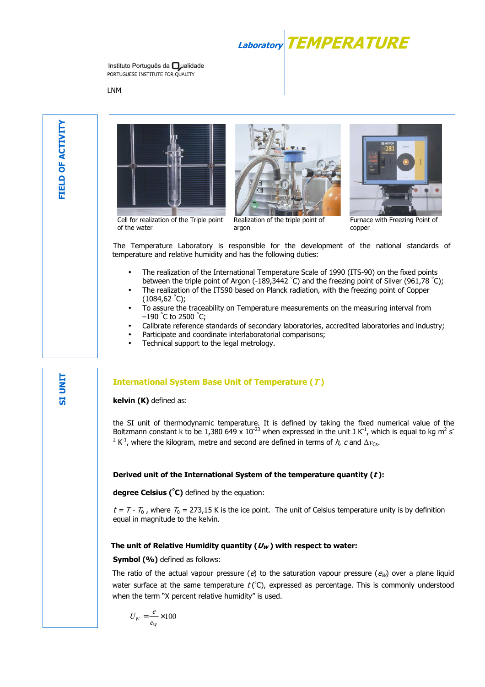**Laboratory TEMPERATURE**

Instituto Português da **O**ualidade PORTUGUESE INSTITUTE FOR OUALITY

LNM

**SI UNIT**







Cell for realization of the Triple point of the water

Realization of the triple point of argon

Furnace with Freezing Point of copper

The Temperature Laboratory is responsible for the development of the national standards of temperature and relative humidity and has the following duties:

- The realization of the International Temperature Scale of 1990 (ITS-90) on the fixed points between the triple point of Argon (-189,3442 °C) and the freezing point of Silver (961,78 °C);
- The realization of the ITS90 based on Planck radiation, with the freezing point of Copper  $(1084, 62 \degree C);$
- To assure the traceability on Temperature measurements on the measuring interval from  $-190$  °C to 2500 °C;
- Calibrate reference standards of secondary laboratories, accredited laboratories and industry;
- Participate and coordinate interlaboratorial comparisons;
- Technical support to the legal metrology.

## **International System Base Unit of Temperature (T )**

**kelvin (K)** defined as:

the SI unit of thermodynamic temperature. It is defined by taking the fixed numerical value of the Boltzmann constant k to be 1,380 649 x 10<sup>-23</sup> when expressed in the unit J K<sup>-1</sup>, which is equal to kg m<sup>2</sup> s<sup>-</sup> <sup>2</sup> K<sup>-1</sup>, where the kilogram, metre and second are defined in terms of *h*, *c* and  $\Delta v_{\text{Cs}}$ .

### **Derived unit of the International System of the temperature quantity (t ):**

**degree Celsius (<sup>º</sup>C)** defined by the equation:

 $t = T - T_0$ , where  $T_0 = 273.15$  K is the ice point. The unit of Celsius temperature unity is by definition equal in magnitude to the kelvin.

### The unit of Relative Humidity quantity ( $U_W$ ) with respect to water:

**Symbol (%)** defined as follows:

The ratio of the actual vapour pressure (e) to the saturation vapour pressure ( $e_W$ ) over a plane liquid water surface at the same temperature  $t$  ( $\degree$ C), expressed as percentage. This is commonly understood when the term "X percent relative humidity" is used.

$$
U_{\rm w} = \frac{e}{e_{\rm w}} \times 100
$$